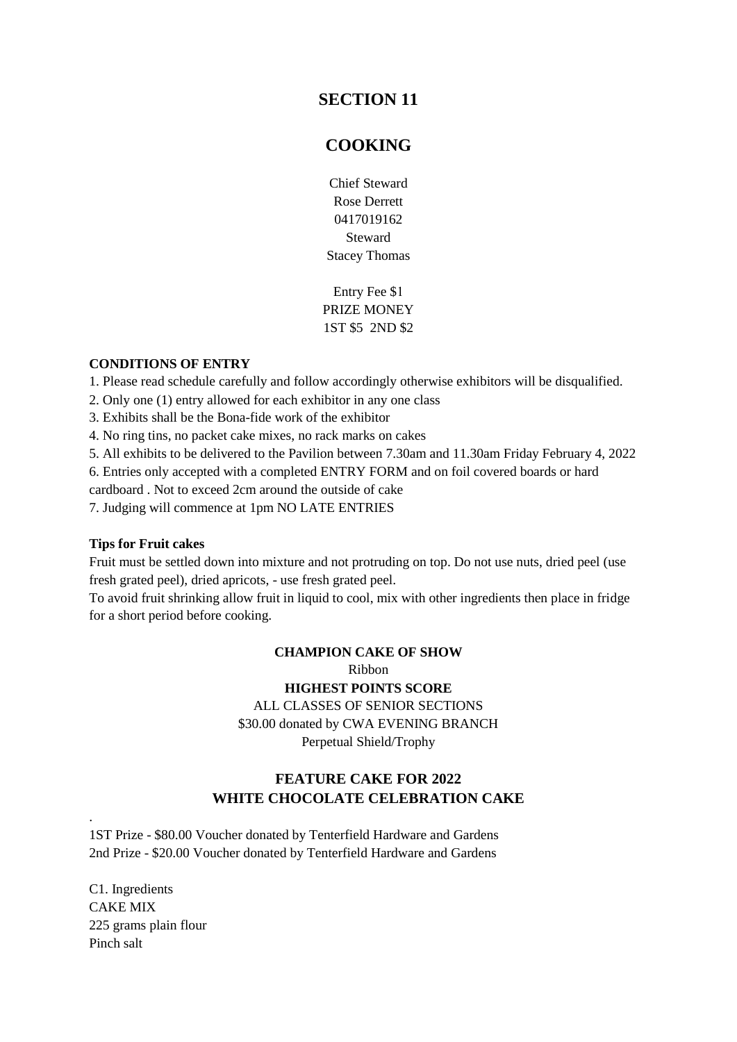# **SECTION 11**

# **COOKING**

Chief Steward Rose Derrett 0417019162 Steward Stacey Thomas

Entry Fee \$1 PRIZE MONEY 1ST \$5 2ND \$2

#### **CONDITIONS OF ENTRY**

1. Please read schedule carefully and follow accordingly otherwise exhibitors will be disqualified.

2. Only one (1) entry allowed for each exhibitor in any one class

3. Exhibits shall be the Bona-fide work of the exhibitor

4. No ring tins, no packet cake mixes, no rack marks on cakes

5. All exhibits to be delivered to the Pavilion between 7.30am and 11.30am Friday February 4, 2022

6. Entries only accepted with a completed ENTRY FORM and on foil covered boards or hard

cardboard . Not to exceed 2cm around the outside of cake

7. Judging will commence at 1pm NO LATE ENTRIES

#### **Tips for Fruit cakes**

Fruit must be settled down into mixture and not protruding on top. Do not use nuts, dried peel (use fresh grated peel), dried apricots, - use fresh grated peel.

To avoid fruit shrinking allow fruit in liquid to cool, mix with other ingredients then place in fridge for a short period before cooking.

> **CHAMPION CAKE OF SHOW**  Ribbon **HIGHEST POINTS SCORE**  ALL CLASSES OF SENIOR SECTIONS \$30.00 donated by CWA EVENING BRANCH Perpetual Shield/Trophy

## **FEATURE CAKE FOR 2022 WHITE CHOCOLATE CELEBRATION CAKE**

1ST Prize - \$80.00 Voucher donated by Tenterfield Hardware and Gardens 2nd Prize - \$20.00 Voucher donated by Tenterfield Hardware and Gardens

C1. Ingredients CAKE MIX 225 grams plain flour Pinch salt

.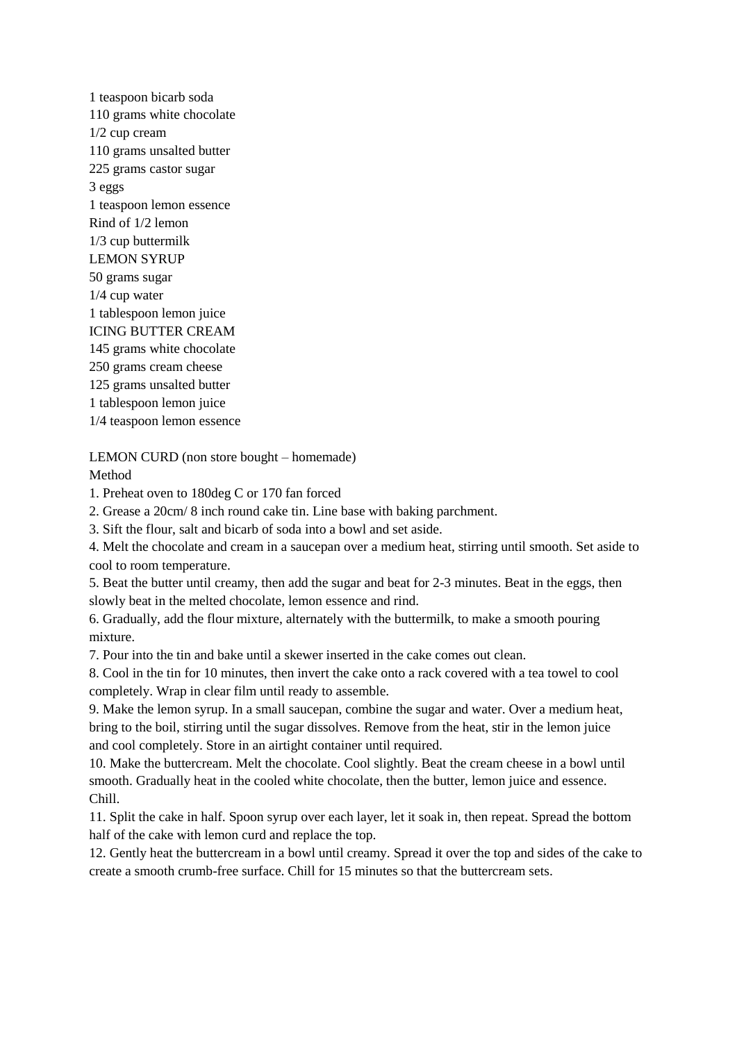1 teaspoon bicarb soda 110 grams white chocolate 1/2 cup cream 110 grams unsalted butter 225 grams castor sugar 3 eggs 1 teaspoon lemon essence Rind of 1/2 lemon 1/3 cup buttermilk LEMON SYRUP 50 grams sugar 1/4 cup water 1 tablespoon lemon juice ICING BUTTER CREAM 145 grams white chocolate 250 grams cream cheese 125 grams unsalted butter 1 tablespoon lemon juice 1/4 teaspoon lemon essence

LEMON CURD (non store bought – homemade)

Method

1. Preheat oven to 180deg C or 170 fan forced

2. Grease a 20cm/ 8 inch round cake tin. Line base with baking parchment.

3. Sift the flour, salt and bicarb of soda into a bowl and set aside.

4. Melt the chocolate and cream in a saucepan over a medium heat, stirring until smooth. Set aside to cool to room temperature.

5. Beat the butter until creamy, then add the sugar and beat for 2-3 minutes. Beat in the eggs, then slowly beat in the melted chocolate, lemon essence and rind.

6. Gradually, add the flour mixture, alternately with the buttermilk, to make a smooth pouring mixture.

7. Pour into the tin and bake until a skewer inserted in the cake comes out clean.

8. Cool in the tin for 10 minutes, then invert the cake onto a rack covered with a tea towel to cool completely. Wrap in clear film until ready to assemble.

9. Make the lemon syrup. In a small saucepan, combine the sugar and water. Over a medium heat, bring to the boil, stirring until the sugar dissolves. Remove from the heat, stir in the lemon juice and cool completely. Store in an airtight container until required.

10. Make the buttercream. Melt the chocolate. Cool slightly. Beat the cream cheese in a bowl until smooth. Gradually heat in the cooled white chocolate, then the butter, lemon juice and essence. Chill.

11. Split the cake in half. Spoon syrup over each layer, let it soak in, then repeat. Spread the bottom half of the cake with lemon curd and replace the top.

12. Gently heat the buttercream in a bowl until creamy. Spread it over the top and sides of the cake to create a smooth crumb-free surface. Chill for 15 minutes so that the buttercream sets.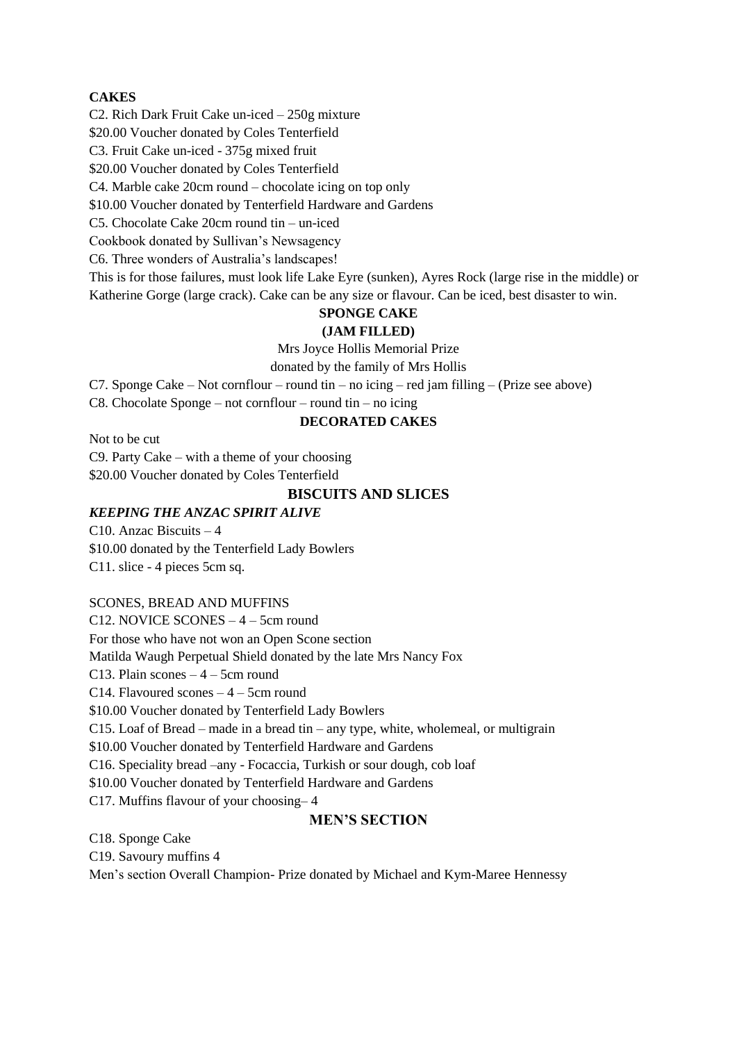#### **CAKES**

C2. Rich Dark Fruit Cake un-iced – 250g mixture

\$20.00 Voucher donated by Coles Tenterfield

C3. Fruit Cake un-iced - 375g mixed fruit

\$20.00 Voucher donated by Coles Tenterfield

C4. Marble cake 20cm round – chocolate icing on top only

\$10.00 Voucher donated by Tenterfield Hardware and Gardens

C5. Chocolate Cake 20cm round tin – un-iced

Cookbook donated by Sullivan's Newsagency

C6. Three wonders of Australia's landscapes!

This is for those failures, must look life Lake Eyre (sunken), Ayres Rock (large rise in the middle) or Katherine Gorge (large crack). Cake can be any size or flavour. Can be iced, best disaster to win.

## **SPONGE CAKE**

#### **(JAM FILLED)**

Mrs Joyce Hollis Memorial Prize

donated by the family of Mrs Hollis

C7. Sponge Cake – Not cornflour – round tin – no icing – red jam filling – (Prize see above)

C8. Chocolate Sponge – not cornflour – round tin – no icing

#### **DECORATED CAKES**

Not to be cut

C9. Party Cake – with a theme of your choosing

\$20.00 Voucher donated by Coles Tenterfield

### **BISCUITS AND SLICES**

#### *KEEPING THE ANZAC SPIRIT ALIVE*

C10. Anzac Biscuits – 4 \$10.00 donated by the Tenterfield Lady Bowlers C11. slice - 4 pieces 5cm sq.

#### SCONES, BREAD AND MUFFINS

C12. NOVICE SCONES – 4 – 5cm round For those who have not won an Open Scone section Matilda Waugh Perpetual Shield donated by the late Mrs Nancy Fox C13. Plain scones  $-4 - 5$ cm round C14. Flavoured scones  $-4 - 5$ cm round \$10.00 Voucher donated by Tenterfield Lady Bowlers C15. Loaf of Bread – made in a bread tin – any type, white, wholemeal, or multigrain \$10.00 Voucher donated by Tenterfield Hardware and Gardens C16. Speciality bread –any - Focaccia, Turkish or sour dough, cob loaf \$10.00 Voucher donated by Tenterfield Hardware and Gardens C17. Muffins flavour of your choosing– 4 **MEN'S SECTION**

C18. Sponge Cake

C19. Savoury muffins 4

Men's section Overall Champion- Prize donated by Michael and Kym-Maree Hennessy